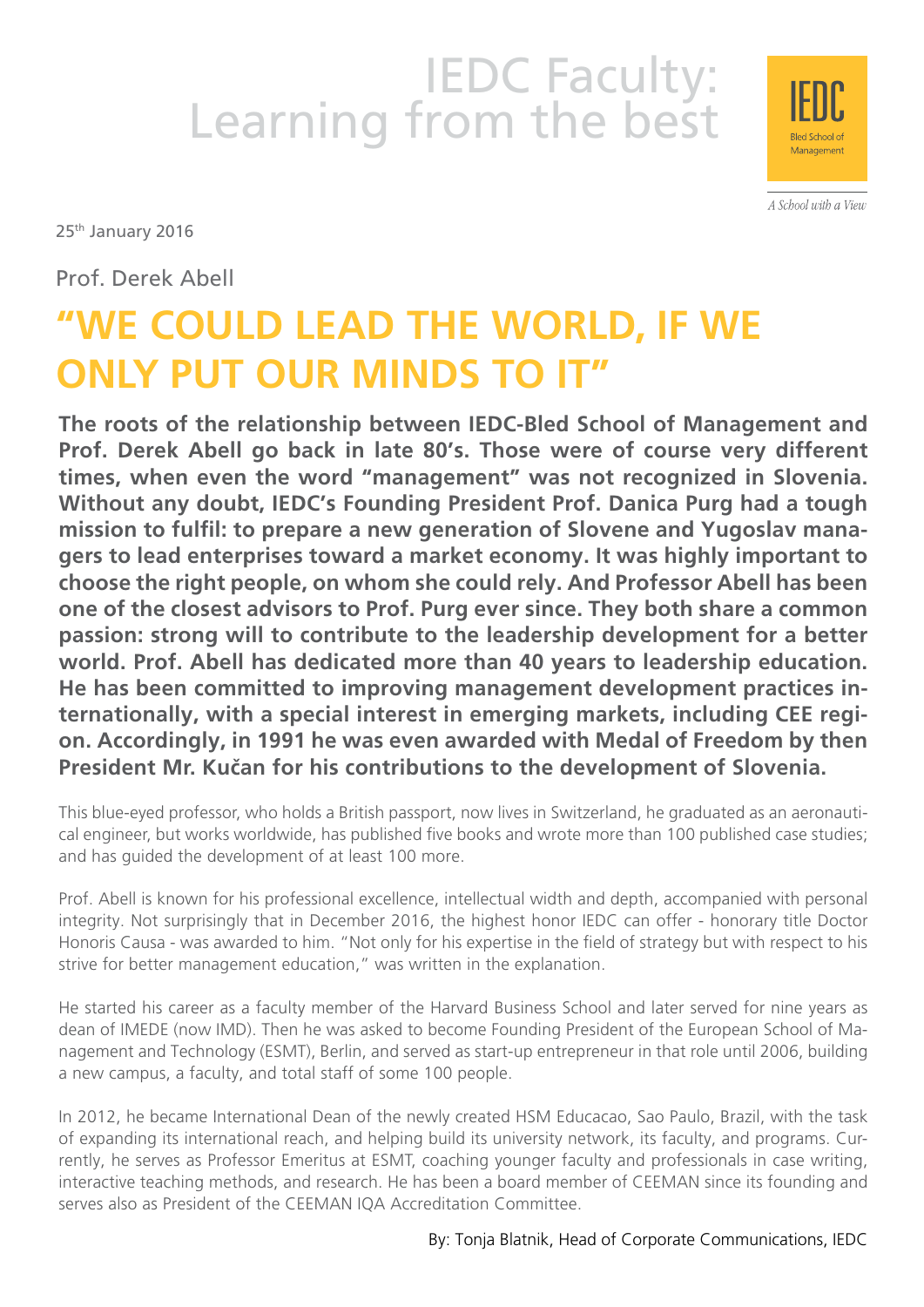# IEDC Faculty:<br>Learning from the best



A School with a View

25<sup>th</sup> January 2016

Prof. Derek Abell

# **"WE COULD LEAD THE WORLD, IF WE ONLY PUT OUR MINDS TO IT"**

**The roots of the relationship between IEDC-Bled School of Management and Prof. Derek Abell go back in late 80's. Those were of course very different times, when even the word "management" was not recognized in Slovenia. Without any doubt, IEDC's Founding President Prof. Danica Purg had a tough mission to fulfil: to prepare a new generation of Slovene and Yugoslav managers to lead enterprises toward a market economy. It was highly important to choose the right people, on whom she could rely. And Professor Abell has been one of the closest advisors to Prof. Purg ever since. They both share a common passion: strong will to contribute to the leadership development for a better world. Prof. Abell has dedicated more than 40 years to leadership education. He has been committed to improving management development practices internationally, with a special interest in emerging markets, including CEE region. Accordingly, in 1991 he was even awarded with Medal of Freedom by then President Mr. Kučan for his contributions to the development of Slovenia.**

This blue-eyed professor, who holds a British passport, now lives in Switzerland, he graduated as an aeronautical engineer, but works worldwide, has published five books and wrote more than 100 published case studies; and has guided the development of at least 100 more.

Prof. Abell is known for his professional excellence, intellectual width and depth, accompanied with personal integrity. Not surprisingly that in December 2016, the highest honor IEDC can offer - honorary title Doctor Honoris Causa - was awarded to him. "Not only for his expertise in the field of strategy but with respect to his strive for better management education," was written in the explanation.

He started his career as a faculty member of the Harvard Business School and later served for nine years as dean of IMEDE (now IMD). Then he was asked to become Founding President of the European School of Management and Technology (ESMT), Berlin, and served as start-up entrepreneur in that role until 2006, building a new campus, a faculty, and total staff of some 100 people.

In 2012, he became International Dean of the newly created HSM Educacao, Sao Paulo, Brazil, with the task of expanding its international reach, and helping build its university network, its faculty, and programs. Currently, he serves as Professor Emeritus at ESMT, coaching younger faculty and professionals in case writing, interactive teaching methods, and research. He has been a board member of CEEMAN since its founding and serves also as President of the CEEMAN IQA Accreditation Committee.

By: Tonja Blatnik, Head of Corporate Communications, IEDC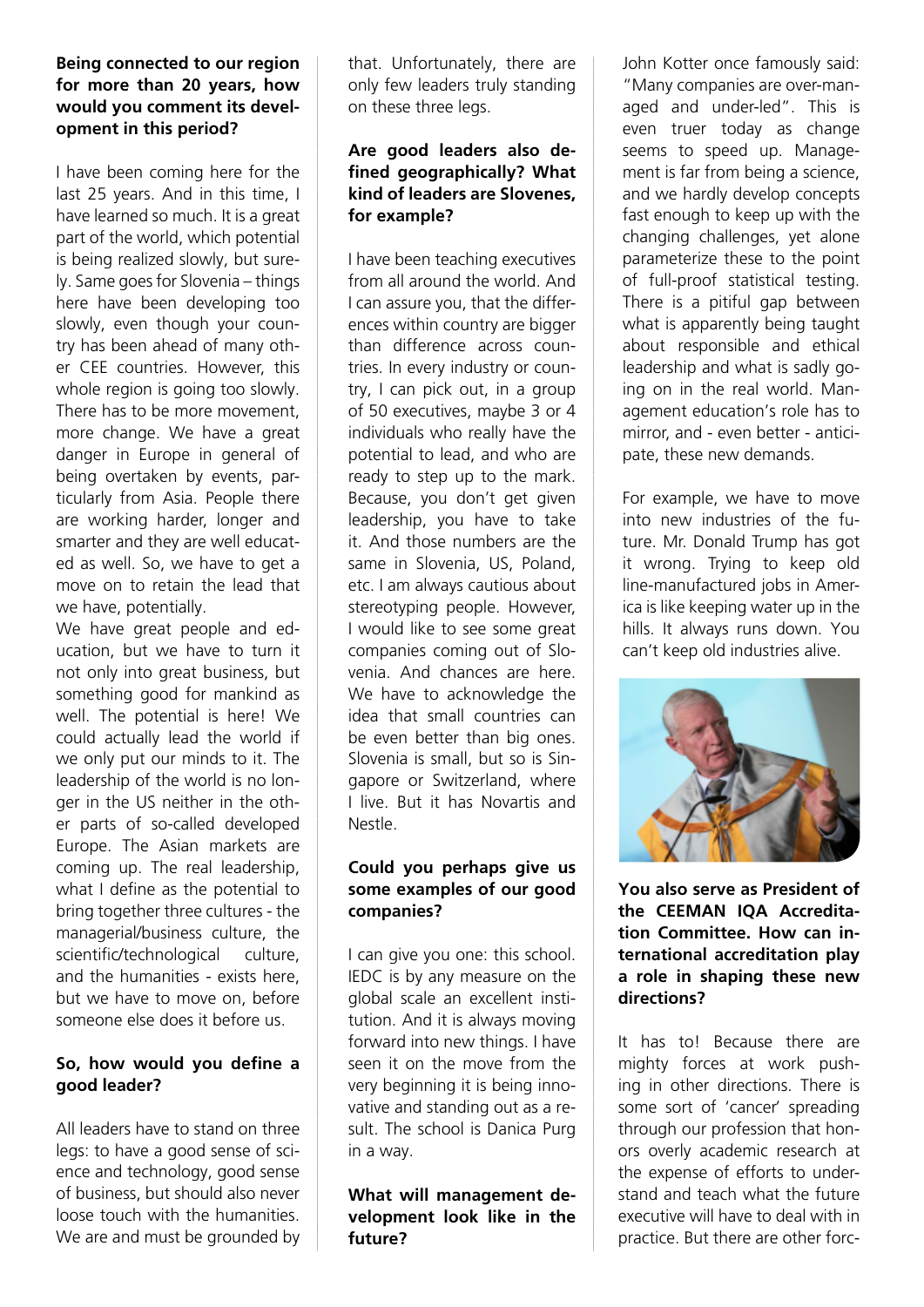#### **Being connected to our region for more than 20 years, how would you comment its development in this period?**

I have been coming here for the last 25 years. And in this time, I have learned so much. It is a great part of the world, which potential is being realized slowly, but surely. Same goes for Slovenia – things here have been developing too slowly, even though your country has been ahead of many other CEE countries. However, this whole region is going too slowly. There has to be more movement, more change. We have a great danger in Europe in general of being overtaken by events, particularly from Asia. People there are working harder, longer and smarter and they are well educated as well. So, we have to get a move on to retain the lead that we have, potentially.

We have great people and education, but we have to turn it not only into great business, but something good for mankind as well. The potential is here! We could actually lead the world if we only put our minds to it. The leadership of the world is no longer in the US neither in the other parts of so-called developed Europe. The Asian markets are coming up. The real leadership, what I define as the potential to bring together three cultures - the managerial/business culture, the scientific/technological culture, and the humanities - exists here, but we have to move on, before someone else does it before us.

#### **So, how would you define a good leader?**

All leaders have to stand on three legs: to have a good sense of science and technology, good sense of business, but should also never loose touch with the humanities. We are and must be grounded by that. Unfortunately, there are only few leaders truly standing on these three legs.

#### **Are good leaders also defined geographically? What kind of leaders are Slovenes, for example?**

I have been teaching executives from all around the world. And I can assure you, that the differences within country are bigger than difference across countries. In every industry or country, I can pick out, in a group of 50 executives, maybe 3 or 4 individuals who really have the potential to lead, and who are ready to step up to the mark. Because, you don't get given leadership, you have to take it. And those numbers are the same in Slovenia, US, Poland, etc. I am always cautious about stereotyping people. However, I would like to see some great companies coming out of Slovenia. And chances are here. We have to acknowledge the idea that small countries can be even better than big ones. Slovenia is small, but so is Singapore or Switzerland, where I live. But it has Novartis and Nestle.

# **Could you perhaps give us some examples of our good companies?**

I can give you one: this school. IEDC is by any measure on the global scale an excellent institution. And it is always moving forward into new things. I have seen it on the move from the very beginning it is being innovative and standing out as a result. The school is Danica Purg in a way.

**What will management development look like in the future?**

John Kotter once famously said: "Many companies are over-managed and under-led". This is even truer today as change seems to speed up. Management is far from being a science, and we hardly develop concepts fast enough to keep up with the changing challenges, yet alone parameterize these to the point of full-proof statistical testing. There is a pitiful gap between what is apparently being taught about responsible and ethical leadership and what is sadly going on in the real world. Management education's role has to mirror, and - even better - anticipate, these new demands.

For example, we have to move into new industries of the future. Mr. Donald Trump has got it wrong. Trying to keep old line-manufactured jobs in America is like keeping water up in the hills. It always runs down. You can't keep old industries alive.



**You also serve as President of the CEEMAN IQA Accreditation Committee. How can international accreditation play a role in shaping these new directions?**

It has to! Because there are mighty forces at work pushing in other directions. There is some sort of 'cancer' spreading through our profession that honors overly academic research at the expense of efforts to understand and teach what the future executive will have to deal with in practice. But there are other forc